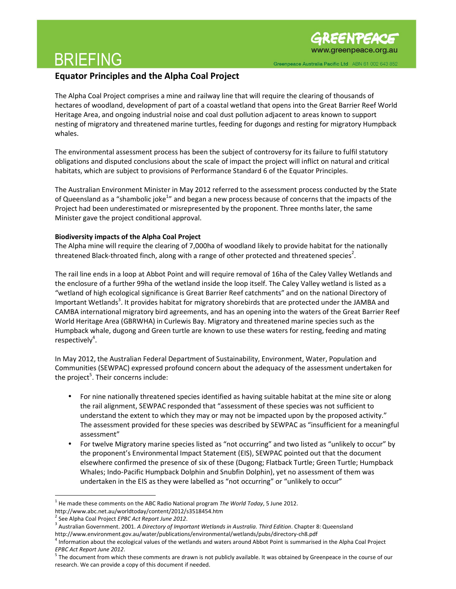### BRIEFING

### Equator Principles and the Alpha Coal Project

The Alpha Coal Project comprises a mine and railway line that will require the clearing of thousands of hectares of woodland, development of part of a coastal wetland that opens into the Great Barrier Reef World Heritage Area, and ongoing industrial noise and coal dust pollution adjacent to areas known to support nesting of migratory and threatened marine turtles, feeding for dugongs and resting for migratory Humpback whales.

The environmental assessment process has been the subject of controversy for its failure to fulfil statutory obligations and disputed conclusions about the scale of impact the project will inflict on natural and critical habitats, which are subject to provisions of Performance Standard 6 of the Equator Principles.

The Australian Environment Minister in May 2012 referred to the assessment process conducted by the State of Queensland as a "shambolic joke<sup>1</sup>" and began a new process because of concerns that the impacts of the Project had been underestimated or misrepresented by the proponent. Three months later, the same Minister gave the project conditional approval.

#### Biodiversity impacts of the Alpha Coal Project

The Alpha mine will require the clearing of 7,000ha of woodland likely to provide habitat for the nationally threatened Black-throated finch, along with a range of other protected and threatened species<sup>2</sup>.

The rail line ends in a loop at Abbot Point and will require removal of 16ha of the Caley Valley Wetlands and the enclosure of a further 99ha of the wetland inside the loop itself. The Caley Valley wetland is listed as a "wetland of high ecological significance is Great Barrier Reef catchments" and on the national Directory of Important Wetlands<sup>3</sup>. It provides habitat for migratory shorebirds that are protected under the JAMBA and CAMBA international migratory bird agreements, and has an opening into the waters of the Great Barrier Reef World Heritage Area (GBRWHA) in Curlewis Bay. Migratory and threatened marine species such as the Humpback whale, dugong and Green turtle are known to use these waters for resting, feeding and mating respectively<sup>4</sup>.

In May 2012, the Australian Federal Department of Sustainability, Environment, Water, Population and Communities (SEWPAC) expressed profound concern about the adequacy of the assessment undertaken for the project<sup>5</sup>. Their concerns include:

- For nine nationally threatened species identified as having suitable habitat at the mine site or along the rail alignment, SEWPAC responded that "assessment of these species was not sufficient to understand the extent to which they may or may not be impacted upon by the proposed activity." The assessment provided for these species was described by SEWPAC as "insufficient for a meaningful assessment"
- For twelve Migratory marine species listed as "not occurring" and two listed as "unlikely to occur" by the proponent's Environmental Impact Statement (EIS), SEWPAC pointed out that the document elsewhere confirmed the presence of six of these (Dugong; Flatback Turtle; Green Turtle; Humpback Whales; Indo-Pacific Humpback Dolphin and Snubfin Dolphin), yet no assessment of them was undertaken in the EIS as they were labelled as "not occurring" or "unlikely to occur"

 $\overline{a}$  $^1$  He made these comments on the ABC Radio National program The World Today, 5 June 2012.

http://www.abc.net.au/worldtoday/content/2012/s3518454.htm

<sup>&</sup>lt;sup>2</sup> See Alpha Coal Project EPBC Act Report June 2012.

<sup>&</sup>lt;sup>3</sup> Australian Government. 2001. A Directory of Important Wetlands in Australia. Third Edition. Chapter 8: Queensland http://www.environment.gov.au/water/publications/environmental/wetlands/pubs/directory-ch8.pdf

<sup>&</sup>lt;sup>4</sup> Information about the ecological values of the wetlands and waters around Abbot Point is summarised in the Alpha Coal Project EPBC Act Report June 2012.

<sup>&</sup>lt;sup>5</sup> The document from which these comments are drawn is not publicly available. It was obtained by Greenpeace in the course of our research. We can provide a copy of this document if needed.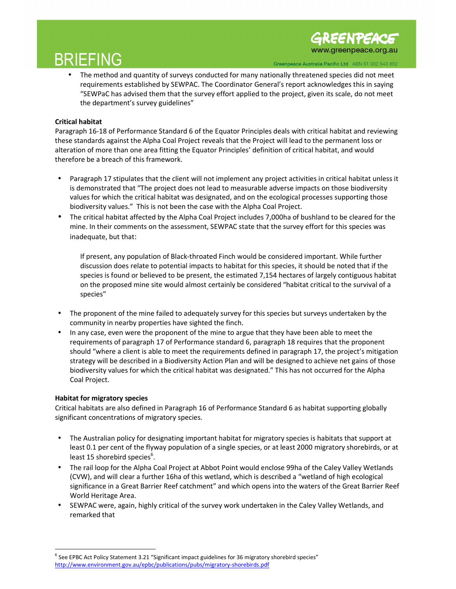# BRIEFING

**IREENPEACE** www.greenpeace.org.au

• The method and quantity of surveys conducted for many nationally threatened species did not meet requirements established by SEWPAC. The Coordinator General's report acknowledges this in saying "SEWPaC has advised them that the survey effort applied to the project, given its scale, do not meet the department's survey guidelines"

#### Critical habitat

Paragraph 16-18 of Performance Standard 6 of the Equator Principles deals with critical habitat and reviewing these standards against the Alpha Coal Project reveals that the Project will lead to the permanent loss or alteration of more than one area fitting the Equator Principles' definition of critical habitat, and would therefore be a breach of this framework.

- Paragraph 17 stipulates that the client will not implement any project activities in critical habitat unless it is demonstrated that "The project does not lead to measurable adverse impacts on those biodiversity values for which the critical habitat was designated, and on the ecological processes supporting those biodiversity values." This is not been the case with the Alpha Coal Project.
- The critical habitat affected by the Alpha Coal Project includes 7,000ha of bushland to be cleared for the mine. In their comments on the assessment, SEWPAC state that the survey effort for this species was inadequate, but that:

If present, any population of Black-throated Finch would be considered important. While further discussion does relate to potential impacts to habitat for this species, it should be noted that if the species is found or believed to be present, the estimated 7,154 hectares of largely contiguous habitat on the proposed mine site would almost certainly be considered "habitat critical to the survival of a species"

- The proponent of the mine failed to adequately survey for this species but surveys undertaken by the community in nearby properties have sighted the finch.
- In any case, even were the proponent of the mine to argue that they have been able to meet the requirements of paragraph 17 of Performance standard 6, paragraph 18 requires that the proponent should "where a client is able to meet the requirements defined in paragraph 17, the project's mitigation strategy will be described in a Biodiversity Action Plan and will be designed to achieve net gains of those biodiversity values for which the critical habitat was designated." This has not occurred for the Alpha Coal Project.

#### Habitat for migratory species

 $\overline{a}$ 

Critical habitats are also defined in Paragraph 16 of Performance Standard 6 as habitat supporting globally significant concentrations of migratory species.

- The Australian policy for designating important habitat for migratory species is habitats that support at least 0.1 per cent of the flyway population of a single species, or at least 2000 migratory shorebirds, or at least 15 shorebird species<sup>6</sup>.
- The rail loop for the Alpha Coal Project at Abbot Point would enclose 99ha of the Caley Valley Wetlands (CVW), and will clear a further 16ha of this wetland, which is described a "wetland of high ecological significance in a Great Barrier Reef catchment" and which opens into the waters of the Great Barrier Reef World Heritage Area.
- SEWPAC were, again, highly critical of the survey work undertaken in the Caley Valley Wetlands, and remarked that

 $^6$  See EPBC Act Policy Statement 3.21 "Significant impact guidelines for 36 migratory shorebird species" http://www.environment.gov.au/epbc/publications/pubs/migratory-shorebirds.pdf